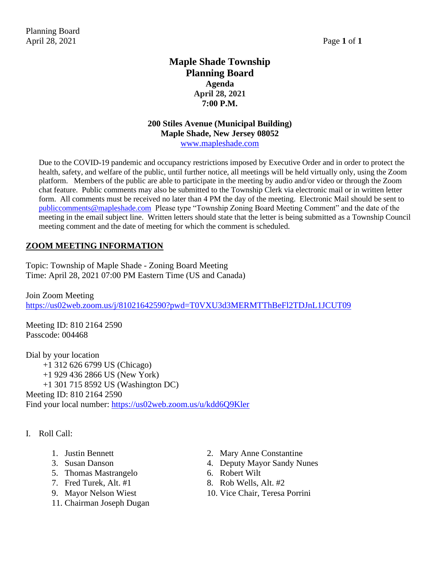# **Maple Shade Township Planning Board Agenda April 28, 2021 7:00 P.M.**

#### **200 Stiles Avenue (Municipal Building) Maple Shade, New Jersey 08052** [www.mapleshade.com](http://www.mapleshade.com/)

Due to the COVID-19 pandemic and occupancy restrictions imposed by Executive Order and in order to protect the health, safety, and welfare of the public, until further notice, all meetings will be held virtually only, using the Zoom platform. Members of the public are able to participate in the meeting by audio and/or video or through the Zoom chat feature. Public comments may also be submitted to the Township Clerk via electronic mail or in written letter form. All comments must be received no later than 4 PM the day of the meeting. Electronic Mail should be sent to [publiccomments@mapleshade.com](mailto:publiccomments@mapleshade.com) Please type "Township Zoning Board Meeting Comment" and the date of the meeting in the email subject line. Written letters should state that the letter is being submitted as a Township Council meeting comment and the date of meeting for which the comment is scheduled.

## **ZOOM MEETING INFORMATION**

Topic: Township of Maple Shade - Zoning Board Meeting Time: April 28, 2021 07:00 PM Eastern Time (US and Canada)

Join Zoom Meeting <https://us02web.zoom.us/j/81021642590?pwd=T0VXU3d3MERMTThBeFl2TDJnL1JCUT09>

Meeting ID: 810 2164 2590 Passcode: 004468

Dial by your location +1 312 626 6799 US (Chicago) +1 929 436 2866 US (New York) +1 301 715 8592 US (Washington DC) Meeting ID: 810 2164 2590 Find your local number:<https://us02web.zoom.us/u/kdd6Q9Kler>

- I. Roll Call:
	-
	-
	- 5. Thomas Mastrangelo 6. Robert Wilt
	-
	-
	- 11. Chairman Joseph Dugan
	- 1. Justin Bennett 2. Mary Anne Constantine
	- 3. Susan Danson 4. Deputy Mayor Sandy Nunes
		-
	- 7. Fred Turek, Alt.  $\#1$  8. Rob Wells, Alt.  $\#2$
	- 9. Mayor Nelson Wiest 10. Vice Chair, Teresa Porrini